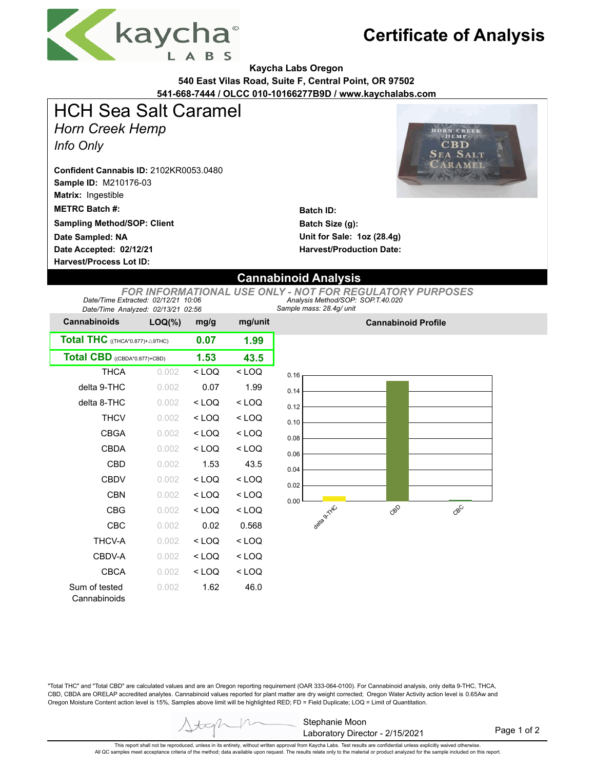

## **Certificate of Analysis**

**Kaycha Labs Oregon**

**540 East Vilas Road, Suite F, Central Point, OR 97502**

**541-668-7444 / OLCC 010-10166277B9D / www.kaychalabs.com**

# HCH Sea Salt Caramel

*Horn Creek Hemp*

*Info Only*

**Sample ID:** M210176-03 **Matrix:** Ingestible **Confident Cannabis ID:** 2102KR0053.0480

**METRC Batch #:** 

**Sampling Method/SOP: Client**

**Date Accepted: 02/12/21 Date Sampled: NA**

**Harvest/Process Lot ID:** 



**Batch ID: Batch Size (g): Unit for Sale: 1oz (28.4g) Harvest/Production Date:** 

### **Cannabinoid Analysis**

*Sample mass: 28.4g/ unit Analysis Method/SOP: SOP.T.40.020 FOR INFORMATIONAL USE ONLY - NOT FOR REGULATORY PURPOSES Date/Time Extracted: 02/12/21 10:06 Date/Time Analyzed: 02/13/21 02:56*

| <b>Cannabinoids</b>             | $LOQ(\%)$ | mg/g    | mg/unit |  |  |
|---------------------------------|-----------|---------|---------|--|--|
| Total THC ((THCA*0.877)+ A9THC) |           | 0.07    | 1.99    |  |  |
| Total CBD ((CBDA*0.877)+CBD)    | 1.53      | 43.5    |         |  |  |
| <b>THCA</b>                     | 0.002     | < LOQ   | < LOQ   |  |  |
| delta 9-THC                     | 0.002     | 0.07    | 1.99    |  |  |
| delta 8-THC                     | 0.002     | < LOQ   | $<$ LOQ |  |  |
| <b>THCV</b>                     | 0.002     | $<$ LOQ | $<$ LOQ |  |  |
| <b>CBGA</b>                     | 0.002     | $<$ LOQ | $<$ LOQ |  |  |
| CBDA                            | 0.002     | $<$ LOQ | $<$ LOQ |  |  |
| CBD                             | 0.002     | 1.53    | 43.5    |  |  |
| CBDV                            | 0.002     | < LOQ   | $<$ LOQ |  |  |
| CBN                             | 0.002     | < LOQ   | $<$ LOQ |  |  |
| CBG                             | 0.002     | < LOQ   | < LOQ   |  |  |
| CBC                             | 0.002     | 0.02    | 0.568   |  |  |
| THCV-A                          | 0.002     | < LOQ   | $<$ LOQ |  |  |
| CBDV-A                          | 0.002     | < LOQ   | $<$ LOQ |  |  |
| CBCA                            | 0.002     | < LOQ   | $<$ LOQ |  |  |
| Sum of tested<br>Cannabinoids   | 0.002     | 1.62    | 46.0    |  |  |



**Cannabinoid Profile**

"Total THC" and "Total CBD" are calculated values and are an Oregon reporting requirement (OAR 333-064-0100). For Cannabinoid analysis, only delta 9-THC, THCA, CBD, CBDA are ORELAP accredited analytes. Cannabinoid values reported for plant matter are dry weight corrected; Oregon Water Activity action level is 0.65Aw and Oregon Moisture Content action level is 15%, Samples above limit will be highlighted RED; FD = Field Duplicate; LOQ = Limit of Quantitation.

> Stephanie Moon Laboratory Director - 2/15/2021

Page 1 of 2

This report shall not be reproduced, unless in its entirety, without written approval from Kaycha Labs. Test results are confidential unless explicitly waived otherwise.<br>All QC samples meet acceptance criteria of the metho